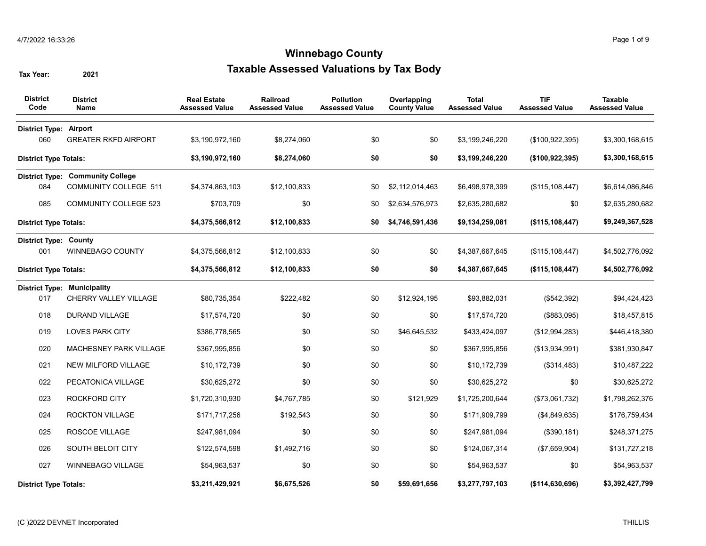| <b>District</b><br>Code       | <b>District</b><br>Name                 | <b>Real Estate</b><br><b>Assessed Value</b> | Railroad<br><b>Assessed Value</b> | <b>Pollution</b><br><b>Assessed Value</b> | Overlapping<br><b>County Value</b> | <b>Total</b><br><b>Assessed Value</b> | <b>TIF</b><br><b>Assessed Value</b> | <b>Taxable</b><br><b>Assessed Value</b> |
|-------------------------------|-----------------------------------------|---------------------------------------------|-----------------------------------|-------------------------------------------|------------------------------------|---------------------------------------|-------------------------------------|-----------------------------------------|
| <b>District Type: Airport</b> |                                         |                                             |                                   |                                           |                                    |                                       |                                     |                                         |
| 060                           | <b>GREATER RKFD AIRPORT</b>             | \$3,190,972,160                             | \$8,274,060                       | \$0                                       | \$0                                | \$3,199,246,220                       | (\$100, 922, 395)                   | \$3,300,168,615                         |
| <b>District Type Totals:</b>  |                                         | \$3,190,972,160                             | \$8,274,060                       | \$0                                       | \$0                                | \$3,199,246,220                       | (\$100, 922, 395)                   | \$3,300,168,615                         |
|                               | <b>District Type: Community College</b> |                                             |                                   |                                           |                                    |                                       |                                     |                                         |
| 084                           | <b>COMMUNITY COLLEGE 511</b>            | \$4.374.863.103                             | \$12,100,833                      | \$0                                       | \$2,112,014,463                    | \$6,498,978,399                       | (\$115, 108, 447)                   | \$6,614,086,846                         |
| 085                           | <b>COMMUNITY COLLEGE 523</b>            | \$703,709                                   | \$0                               | \$0                                       | \$2,634,576,973                    | \$2,635,280,682                       | \$0                                 | \$2,635,280,682                         |
| <b>District Type Totals:</b>  |                                         | \$4,375,566,812                             | \$12,100,833                      | \$0                                       | \$4,746,591,436                    | \$9,134,259,081                       | (\$115, 108, 447)                   | \$9,249,367,528                         |
| <b>District Type: County</b>  |                                         |                                             |                                   |                                           |                                    |                                       |                                     |                                         |
| 001                           | <b>WINNEBAGO COUNTY</b>                 | \$4,375,566,812                             | \$12,100,833                      | \$0                                       | \$0                                | \$4,387,667,645                       | (\$115, 108, 447)                   | \$4,502,776,092                         |
| <b>District Type Totals:</b>  |                                         | \$4,375,566,812                             | \$12,100,833                      | \$0                                       | \$0                                | \$4,387,667,645                       | (\$115,108,447)                     | \$4,502,776,092                         |
|                               | <b>District Type: Municipality</b>      |                                             |                                   |                                           |                                    |                                       |                                     |                                         |
| 017                           | CHERRY VALLEY VILLAGE                   | \$80,735,354                                | \$222,482                         | \$0                                       | \$12,924,195                       | \$93,882,031                          | (\$542,392)                         | \$94,424,423                            |
| 018                           | <b>DURAND VILLAGE</b>                   | \$17,574,720                                | \$0                               | \$0                                       | \$0                                | \$17,574,720                          | (\$883,095)                         | \$18,457,815                            |
| 019                           | <b>LOVES PARK CITY</b>                  | \$386,778,565                               | \$0                               | \$0                                       | \$46,645,532                       | \$433,424,097                         | (\$12,994,283)                      | \$446,418,380                           |
| 020                           | MACHESNEY PARK VILLAGE                  | \$367,995,856                               | \$0                               | \$0                                       | \$0                                | \$367,995,856                         | (\$13,934,991)                      | \$381,930,847                           |
| 021                           | NEW MILFORD VILLAGE                     | \$10,172,739                                | \$0                               | \$0                                       | \$0                                | \$10,172,739                          | (\$314,483)                         | \$10,487,222                            |
| 022                           | PECATONICA VILLAGE                      | \$30,625,272                                | \$0                               | \$0                                       | \$0                                | \$30,625,272                          | \$0                                 | \$30,625,272                            |
| 023                           | <b>ROCKFORD CITY</b>                    | \$1,720,310,930                             | \$4,767,785                       | \$0                                       | \$121,929                          | \$1,725,200,644                       | (\$73,061,732)                      | \$1,798,262,376                         |
| 024                           | <b>ROCKTON VILLAGE</b>                  | \$171,717,256                               | \$192,543                         | \$0                                       | \$0                                | \$171,909,799                         | (\$4,849,635)                       | \$176,759,434                           |
| 025                           | ROSCOE VILLAGE                          | \$247,981,094                               | \$0                               | \$0                                       | \$0                                | \$247,981,094                         | (\$390, 181)                        | \$248,371,275                           |
| 026                           | SOUTH BELOIT CITY                       | \$122,574,598                               | \$1,492,716                       | \$0                                       | \$0                                | \$124,067,314                         | (\$7,659,904)                       | \$131,727,218                           |
| 027                           | WINNEBAGO VILLAGE                       | \$54,963,537                                | \$0                               | \$0                                       | \$0                                | \$54,963,537                          | \$0                                 | \$54,963,537                            |
| <b>District Type Totals:</b>  |                                         | \$3,211,429,921                             | \$6,675,526                       | \$0                                       | \$59,691,656                       | \$3,277,797,103                       | (\$114, 630, 696)                   | \$3,392,427,799                         |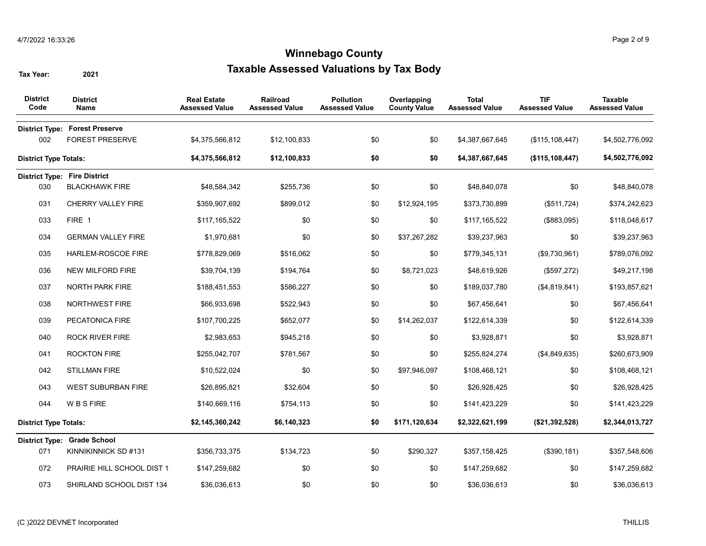| <b>District</b><br>Code      | <b>District</b><br>Name                                         | <b>Real Estate</b><br><b>Assessed Value</b> | Railroad<br><b>Assessed Value</b> | <b>Pollution</b><br><b>Assessed Value</b> | Overlapping<br><b>County Value</b> | <b>Total</b><br><b>Assessed Value</b> | <b>TIF</b><br><b>Assessed Value</b> | <b>Taxable</b><br><b>Assessed Value</b> |
|------------------------------|-----------------------------------------------------------------|---------------------------------------------|-----------------------------------|-------------------------------------------|------------------------------------|---------------------------------------|-------------------------------------|-----------------------------------------|
| 002                          | <b>District Type: Forest Preserve</b><br><b>FOREST PRESERVE</b> | \$4,375,566,812                             | \$12,100,833                      | \$0                                       | \$0                                | \$4,387,667,645                       | (\$115, 108, 447)                   | \$4,502,776,092                         |
| <b>District Type Totals:</b> |                                                                 | \$4,375,566,812                             | \$12,100,833                      | \$0                                       | \$0                                | \$4,387,667,645                       | (\$115, 108, 447)                   | \$4,502,776,092                         |
|                              | <b>District Type: Fire District</b>                             |                                             |                                   |                                           |                                    |                                       |                                     |                                         |
| 030                          | <b>BLACKHAWK FIRE</b>                                           | \$48,584,342                                | \$255,736                         | \$0                                       | \$0                                | \$48,840,078                          | \$0                                 | \$48,840,078                            |
| 031                          | CHERRY VALLEY FIRE                                              | \$359,907,692                               | \$899,012                         | \$0                                       | \$12,924,195                       | \$373,730,899                         | (\$511,724)                         | \$374,242,623                           |
| 033                          | FIRE 1                                                          | \$117,165,522                               | \$0                               | \$0                                       | \$0                                | \$117,165,522                         | (\$883,095)                         | \$118,048,617                           |
| 034                          | <b>GERMAN VALLEY FIRE</b>                                       | \$1,970,681                                 | \$0                               | \$0                                       | \$37,267,282                       | \$39,237,963                          | \$0                                 | \$39,237,963                            |
| 035                          | HARLEM-ROSCOE FIRE                                              | \$778,829,069                               | \$516,062                         | \$0                                       | \$0                                | \$779,345,131                         | (\$9,730,961)                       | \$789,076,092                           |
| 036                          | <b>NEW MILFORD FIRE</b>                                         | \$39,704,139                                | \$194,764                         | \$0                                       | \$8,721,023                        | \$48,619,926                          | (\$597,272)                         | \$49,217,198                            |
| 037                          | <b>NORTH PARK FIRE</b>                                          | \$188,451,553                               | \$586,227                         | \$0                                       | \$0                                | \$189,037,780                         | (\$4,819,841)                       | \$193,857,621                           |
| 038                          | <b>NORTHWEST FIRE</b>                                           | \$66,933,698                                | \$522,943                         | \$0                                       | \$0                                | \$67,456,641                          | \$0                                 | \$67,456,641                            |
| 039                          | PECATONICA FIRE                                                 | \$107,700,225                               | \$652,077                         | \$0                                       | \$14,262,037                       | \$122,614,339                         | \$0                                 | \$122,614,339                           |
| 040                          | <b>ROCK RIVER FIRE</b>                                          | \$2,983,653                                 | \$945,218                         | \$0                                       | \$0                                | \$3,928,871                           | \$0                                 | \$3,928,871                             |
| 041                          | ROCKTON FIRE                                                    | \$255,042,707                               | \$781,567                         | \$0                                       | \$0                                | \$255,824,274                         | (\$4,849,635)                       | \$260,673,909                           |
| 042                          | <b>STILLMAN FIRE</b>                                            | \$10,522,024                                | \$0                               | \$0                                       | \$97,946,097                       | \$108,468,121                         | \$0                                 | \$108,468,121                           |
| 043                          | <b>WEST SUBURBAN FIRE</b>                                       | \$26,895,821                                | \$32,604                          | \$0                                       | \$0                                | \$26,928,425                          | \$0                                 | \$26,928,425                            |
| 044                          | <b>WBSFIRE</b>                                                  | \$140,669,116                               | \$754,113                         | \$0                                       | \$0                                | \$141,423,229                         | \$0                                 | \$141,423,229                           |
| <b>District Type Totals:</b> |                                                                 | \$2,145,360,242                             | \$6,140,323                       | \$0                                       | \$171,120,634                      | \$2,322,621,199                       | (\$21,392,528)                      | \$2,344,013,727                         |
|                              | District Type: Grade School                                     |                                             |                                   |                                           |                                    |                                       |                                     |                                         |
| 071                          | KINNIKINNICK SD #131                                            | \$356,733,375                               | \$134,723                         | \$0                                       | \$290,327                          | \$357,158,425                         | (\$390, 181)                        | \$357,548,606                           |
| 072                          | PRAIRIE HILL SCHOOL DIST 1                                      | \$147,259,682                               | \$0                               | \$0                                       | \$0                                | \$147,259,682                         | \$0                                 | \$147,259,682                           |
| 073                          | SHIRLAND SCHOOL DIST 134                                        | \$36,036,613                                | \$0                               | \$0                                       | \$0                                | \$36,036,613                          | \$0                                 | \$36,036,613                            |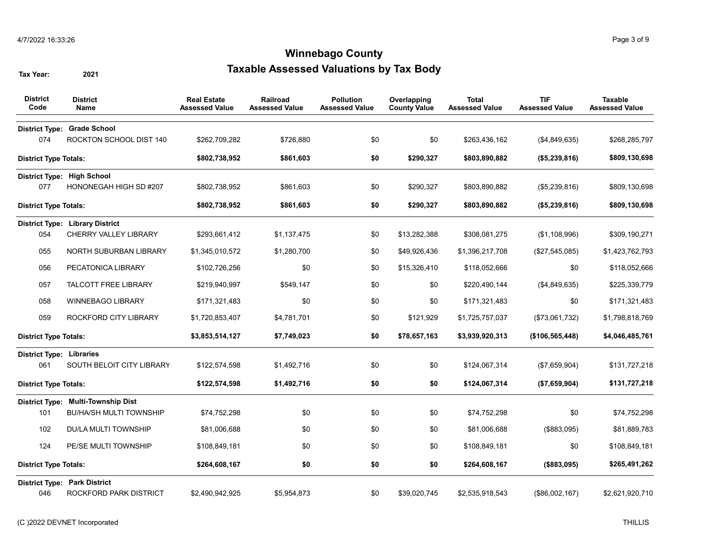| <b>District</b><br>Code                | <b>District</b><br>Name                                       | <b>Real Estate</b><br><b>Assessed Value</b> | <b>Railroad</b><br><b>Assessed Value</b> | <b>Pollution</b><br><b>Assessed Value</b> | Overlapping<br><b>County Value</b> | <b>Total</b><br><b>Assessed Value</b> | <b>TIF</b><br><b>Assessed Value</b> | <b>Taxable</b><br><b>Assessed Value</b> |
|----------------------------------------|---------------------------------------------------------------|---------------------------------------------|------------------------------------------|-------------------------------------------|------------------------------------|---------------------------------------|-------------------------------------|-----------------------------------------|
|                                        | District Type: Grade School                                   |                                             |                                          |                                           |                                    |                                       |                                     |                                         |
| 074                                    | ROCKTON SCHOOL DIST 140                                       | \$262,709,282                               | \$726,880                                | \$0                                       | \$0                                | \$263,436,162                         | (\$4,849,635)                       | \$268,285,797                           |
| <b>District Type Totals:</b>           |                                                               | \$802,738,952                               | \$861,603                                | \$0                                       | \$290,327                          | \$803,890,882                         | (\$5,239,816)                       | \$809,130,698                           |
|                                        | District Type: High School                                    |                                             |                                          |                                           |                                    |                                       |                                     |                                         |
| 077                                    | HONONEGAH HIGH SD #207                                        | \$802,738,952                               | \$861,603                                | \$0                                       | \$290,327                          | \$803,890,882                         | (\$5,239,816)                       | \$809,130,698                           |
| <b>District Type Totals:</b>           |                                                               | \$802,738,952                               | \$861,603                                | \$0                                       | \$290,327                          | \$803,890,882                         | (\$5,239,816)                       | \$809,130,698                           |
|                                        | <b>District Type: Library District</b>                        |                                             |                                          |                                           |                                    |                                       |                                     |                                         |
| 054                                    | CHERRY VALLEY LIBRARY                                         | \$293,661,412                               | \$1,137,475                              | \$0                                       | \$13,282,388                       | \$308,081,275                         | (\$1,108,996)                       | \$309,190,271                           |
| 055                                    | NORTH SUBURBAN LIBRARY                                        | \$1,345,010,572                             | \$1,280,700                              | \$0                                       | \$49,926,436                       | \$1,396,217,708                       | (\$27,545,085)                      | \$1,423,762,793                         |
| 056                                    | PECATONICA LIBRARY                                            | \$102,726,256                               | \$0                                      | \$0                                       | \$15,326,410                       | \$118,052,666                         | \$0                                 | \$118,052,666                           |
| 057                                    | <b>TALCOTT FREE LIBRARY</b>                                   | \$219,940,997                               | \$549,147                                | \$0                                       | \$0                                | \$220,490,144                         | (\$4,849,635)                       | \$225,339,779                           |
| 058                                    | <b>WINNEBAGO LIBRARY</b>                                      | \$171,321,483                               | \$0                                      | \$0                                       | \$0                                | \$171,321,483                         | \$0                                 | \$171,321,483                           |
| 059                                    | ROCKFORD CITY LIBRARY                                         | \$1,720,853,407                             | \$4,781,701                              | \$0                                       | \$121,929                          | \$1,725,757,037                       | (\$73,061,732)                      | \$1,798,818,769                         |
| <b>District Type Totals:</b>           |                                                               | \$3,853,514,127                             | \$7,749,023                              | \$0                                       | \$78,657,163                       | \$3,939,920,313                       | (\$106, 565, 448)                   | \$4,046,485,761                         |
| <b>District Type: Libraries</b><br>061 | SOUTH BELOIT CITY LIBRARY                                     | \$122,574,598                               | \$1,492,716                              | \$0                                       | \$0                                | \$124,067,314                         | (\$7,659,904)                       | \$131,727,218                           |
| <b>District Type Totals:</b>           |                                                               | \$122,574,598                               | \$1,492,716                              | \$0                                       | \$0                                | \$124,067,314                         | (\$7,659,904)                       | \$131,727,218                           |
|                                        | District Type: Multi-Township Dist                            |                                             |                                          |                                           |                                    |                                       |                                     |                                         |
| 101                                    | <b>BU/HA/SH MULTI TOWNSHIP</b>                                | \$74,752,298                                | \$0                                      | \$0                                       | \$0                                | \$74,752,298                          | \$0                                 | \$74,752,298                            |
| 102                                    | <b>DU/LA MULTI TOWNSHIP</b>                                   | \$81,006,688                                | \$0                                      | \$0                                       | \$0                                | \$81,006,688                          | (\$883,095)                         | \$81,889,783                            |
| 124                                    | PE/SE MULTI TOWNSHIP                                          | \$108,849,181                               | \$0                                      | \$0                                       | \$0                                | \$108,849,181                         | \$0                                 | \$108,849,181                           |
| <b>District Type Totals:</b>           |                                                               | \$264,608,167                               | \$0                                      | \$0                                       | \$0                                | \$264,608,167                         | (\$883,095)                         | \$265,491,262                           |
| 046                                    | <b>District Type: Park District</b><br>ROCKFORD PARK DISTRICT | \$2,490,942,925                             | \$5,954,873                              | \$0                                       | \$39,020,745                       | \$2,535,918,543                       | $($ \$86,002,167)                   | \$2,621,920,710                         |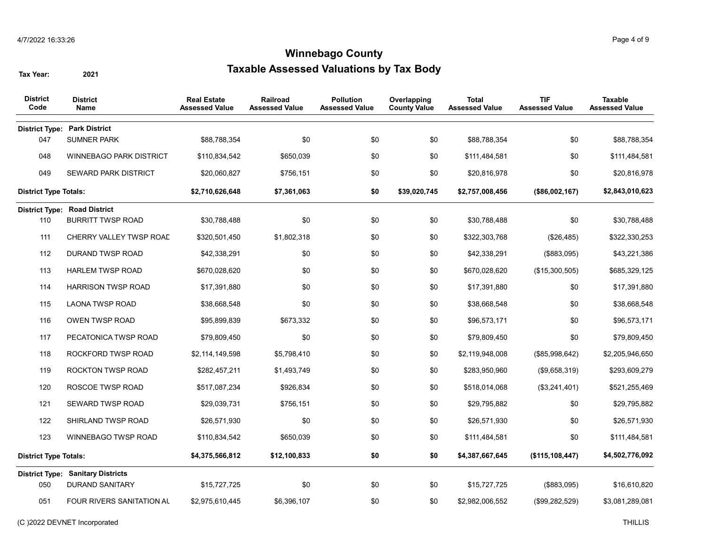| <b>District</b><br>Code      | <b>District</b><br>Name                  | <b>Real Estate</b><br><b>Assessed Value</b> | <b>Railroad</b><br><b>Assessed Value</b> | <b>Pollution</b><br><b>Assessed Value</b> | Overlapping<br><b>County Value</b> | <b>Total</b><br><b>Assessed Value</b> | <b>TIF</b><br><b>Assessed Value</b> | <b>Taxable</b><br><b>Assessed Value</b> |
|------------------------------|------------------------------------------|---------------------------------------------|------------------------------------------|-------------------------------------------|------------------------------------|---------------------------------------|-------------------------------------|-----------------------------------------|
|                              | <b>District Type: Park District</b>      |                                             |                                          |                                           |                                    |                                       |                                     |                                         |
| 047                          | <b>SUMNER PARK</b>                       | \$88,788,354                                | \$0                                      | \$0                                       | \$0                                | \$88,788,354                          | \$0                                 | \$88,788,354                            |
| 048                          | WINNEBAGO PARK DISTRICT                  | \$110,834,542                               | \$650,039                                | \$0                                       | \$0                                | \$111,484,581                         | \$0                                 | \$111,484,581                           |
| 049                          | <b>SEWARD PARK DISTRICT</b>              | \$20,060,827                                | \$756,151                                | \$0                                       | \$0                                | \$20,816,978                          | \$0                                 | \$20,816,978                            |
| <b>District Type Totals:</b> |                                          | \$2,710,626,648                             | \$7,361,063                              | \$0                                       | \$39,020,745                       | \$2,757,008,456                       | (\$86,002,167)                      | \$2,843,010,623                         |
|                              | <b>District Type: Road District</b>      |                                             |                                          |                                           |                                    |                                       |                                     |                                         |
| 110                          | <b>BURRITT TWSP ROAD</b>                 | \$30,788,488                                | \$0                                      | \$0                                       | \$0                                | \$30,788,488                          | \$0                                 | \$30,788,488                            |
| 111                          | CHERRY VALLEY TWSP ROAD                  | \$320,501,450                               | \$1,802,318                              | \$0                                       | \$0                                | \$322,303,768                         | (\$26,485)                          | \$322,330,253                           |
| 112                          | DURAND TWSP ROAD                         | \$42,338,291                                | \$0                                      | \$0                                       | \$0                                | \$42,338,291                          | (\$883,095)                         | \$43,221,386                            |
| 113                          | <b>HARLEM TWSP ROAD</b>                  | \$670,028,620                               | \$0                                      | \$0                                       | \$0                                | \$670,028,620                         | (\$15,300,505)                      | \$685,329,125                           |
| 114                          | <b>HARRISON TWSP ROAD</b>                | \$17,391,880                                | \$0                                      | \$0                                       | \$0                                | \$17,391,880                          | \$0                                 | \$17,391,880                            |
| 115                          | <b>LAONA TWSP ROAD</b>                   | \$38,668,548                                | \$0                                      | \$0                                       | \$0                                | \$38,668,548                          | \$0                                 | \$38,668,548                            |
| 116                          | <b>OWEN TWSP ROAD</b>                    | \$95,899,839                                | \$673,332                                | \$0                                       | \$0                                | \$96,573,171                          | \$0                                 | \$96,573,171                            |
| 117                          | PECATONICA TWSP ROAD                     | \$79,809,450                                | \$0                                      | \$0                                       | \$0                                | \$79,809,450                          | \$0                                 | \$79,809,450                            |
| 118                          | ROCKFORD TWSP ROAD                       | \$2,114,149,598                             | \$5,798,410                              | \$0                                       | \$0                                | \$2,119,948,008                       | (\$85,998,642)                      | \$2,205,946,650                         |
| 119                          | ROCKTON TWSP ROAD                        | \$282,457,211                               | \$1,493,749                              | \$0                                       | \$0                                | \$283,950,960                         | (\$9,658,319)                       | \$293,609,279                           |
| 120                          | ROSCOE TWSP ROAD                         | \$517,087,234                               | \$926,834                                | \$0                                       | \$0                                | \$518,014,068                         | (\$3,241,401)                       | \$521,255,469                           |
| 121                          | SEWARD TWSP ROAD                         | \$29,039,731                                | \$756,151                                | \$0                                       | \$0                                | \$29,795,882                          | \$0                                 | \$29,795,882                            |
| 122                          | SHIRLAND TWSP ROAD                       | \$26,571,930                                | \$0                                      | \$0                                       | \$0                                | \$26,571,930                          | \$0                                 | \$26,571,930                            |
| 123                          | WINNEBAGO TWSP ROAD                      | \$110,834,542                               | \$650,039                                | \$0                                       | \$0                                | \$111,484,581                         | \$0                                 | \$111,484,581                           |
| <b>District Type Totals:</b> |                                          | \$4,375,566,812                             | \$12,100,833                             | \$0                                       | \$0                                | \$4,387,667,645                       | (\$115, 108, 447)                   | \$4,502,776,092                         |
|                              | <b>District Type: Sanitary Districts</b> |                                             |                                          |                                           |                                    |                                       |                                     |                                         |
| 050                          | <b>DURAND SANITARY</b>                   | \$15,727,725                                | \$0                                      | \$0                                       | \$0                                | \$15,727,725                          | (\$883,095)                         | \$16,610,820                            |
| 051                          | FOUR RIVERS SANITATION AL                | \$2,975,610,445                             | \$6,396,107                              | \$0                                       | \$0                                | \$2,982,006,552                       | (\$99,282,529)                      | \$3,081,289,081                         |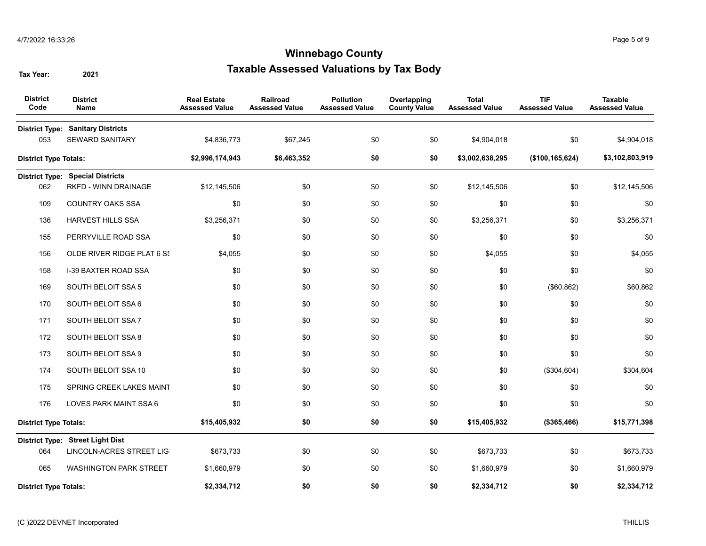| <b>District</b><br>Code      | <b>District</b><br>Name                                                | <b>Real Estate</b><br><b>Assessed Value</b> | <b>Railroad</b><br><b>Assessed Value</b> | <b>Pollution</b><br><b>Assessed Value</b> | Overlapping<br><b>County Value</b> | <b>Total</b><br><b>Assessed Value</b> | <b>TIF</b><br><b>Assessed Value</b> | <b>Taxable</b><br><b>Assessed Value</b> |
|------------------------------|------------------------------------------------------------------------|---------------------------------------------|------------------------------------------|-------------------------------------------|------------------------------------|---------------------------------------|-------------------------------------|-----------------------------------------|
| 053                          | <b>District Type: Sanitary Districts</b><br><b>SEWARD SANITARY</b>     | \$4,836,773                                 | \$67,245                                 | \$0                                       | \$0                                | \$4,904,018                           | \$0                                 | \$4,904,018                             |
| <b>District Type Totals:</b> |                                                                        | \$2,996,174,943                             | \$6,463,352                              | \$0                                       | \$0                                | \$3,002,638,295                       | (\$100, 165, 624)                   | \$3,102,803,919                         |
| 062                          | <b>District Type: Special Districts</b><br><b>RKFD - WINN DRAINAGE</b> | \$12,145,506                                | \$0                                      | \$0                                       | \$0                                | \$12,145,506                          | \$0                                 | \$12,145,506                            |
| 109                          | COUNTRY OAKS SSA                                                       | \$0                                         | \$0                                      | \$0                                       | \$0                                | \$0                                   | \$0                                 | \$0                                     |
| 136                          | HARVEST HILLS SSA                                                      | \$3,256,371                                 | \$0                                      | \$0                                       | \$0                                | \$3,256,371                           | \$0                                 | \$3,256,371                             |
| 155                          | PERRYVILLE ROAD SSA                                                    | \$0                                         | \$0                                      | \$0                                       | \$0                                | \$0                                   | \$0                                 | \$0                                     |
| 156                          | OLDE RIVER RIDGE PLAT 6 S!                                             | \$4,055                                     | \$0                                      | \$0                                       | \$0                                | \$4,055                               | \$0                                 | \$4,055                                 |
| 158                          | <b>I-39 BAXTER ROAD SSA</b>                                            | \$0                                         | \$0                                      | \$0                                       | \$0                                | \$0                                   | \$0                                 | \$0                                     |
| 169                          | SOUTH BELOIT SSA 5                                                     | \$0                                         | \$0                                      | \$0                                       | \$0                                | \$0                                   | (\$60, 862)                         | \$60,862                                |
| 170                          | SOUTH BELOIT SSA 6                                                     | \$0                                         | \$0                                      | \$0                                       | \$0                                | \$0                                   | \$0                                 | \$0                                     |
| 171                          | SOUTH BELOIT SSA 7                                                     | \$0                                         | \$0                                      | \$0                                       | \$0                                | \$0                                   | \$0                                 | \$0                                     |
| 172                          | SOUTH BELOIT SSA 8                                                     | \$0                                         | \$0                                      | \$0                                       | \$0                                | \$0                                   | \$0                                 | \$0                                     |
| 173                          | SOUTH BELOIT SSA 9                                                     | \$0                                         | \$0                                      | \$0                                       | \$0                                | \$0                                   | \$0                                 | \$0                                     |
| 174                          | SOUTH BELOIT SSA 10                                                    | \$0                                         | \$0                                      | \$0                                       | \$0                                | \$0                                   | (\$304,604)                         | \$304,604                               |
| 175                          | SPRING CREEK LAKES MAINT                                               | \$0                                         | \$0                                      | \$0                                       | \$0                                | \$0                                   | \$0                                 | \$0                                     |
| 176                          | LOVES PARK MAINT SSA 6                                                 | \$0                                         | \$0                                      | \$0                                       | \$0                                | \$0                                   | \$0                                 | \$0                                     |
| <b>District Type Totals:</b> |                                                                        | \$15,405,932                                | \$0                                      | \$0                                       | \$0                                | \$15,405,932                          | (\$365,466)                         | \$15,771,398                            |
|                              | District Type: Street Light Dist                                       |                                             |                                          |                                           |                                    |                                       |                                     |                                         |
| 064                          | LINCOLN-ACRES STREET LIG                                               | \$673,733                                   | \$0                                      | \$0                                       | \$0                                | \$673,733                             | \$0                                 | \$673,733                               |
| 065                          | <b>WASHINGTON PARK STREET</b>                                          | \$1,660,979                                 | \$0                                      | \$0                                       | \$0                                | \$1,660,979                           | \$0                                 | \$1,660,979                             |
| <b>District Type Totals:</b> |                                                                        | \$2,334,712                                 | \$0                                      | \$0                                       | \$0                                | \$2,334,712                           | \$0                                 | \$2,334,712                             |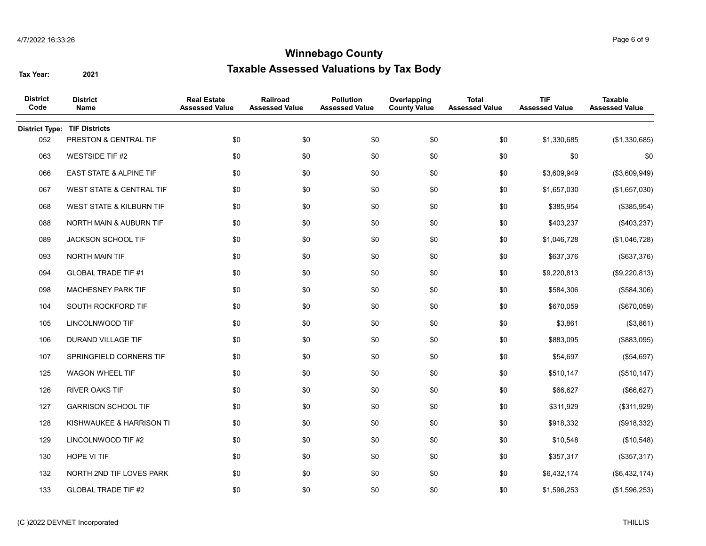| <b>District</b><br>Code | <b>District</b><br>Name             | <b>Real Estate</b><br><b>Assessed Value</b> | Railroad<br><b>Assessed Value</b> | <b>Pollution</b><br><b>Assessed Value</b> | Overlapping<br><b>County Value</b> | <b>Total</b><br><b>Assessed Value</b> | <b>TIF</b><br><b>Assessed Value</b> | Taxable<br><b>Assessed Value</b> |
|-------------------------|-------------------------------------|---------------------------------------------|-----------------------------------|-------------------------------------------|------------------------------------|---------------------------------------|-------------------------------------|----------------------------------|
| <b>District Type:</b>   | <b>TIF Districts</b>                |                                             |                                   |                                           |                                    |                                       |                                     |                                  |
| 052                     | PRESTON & CENTRAL TIF               | \$0                                         | \$0                               | \$0                                       | \$0                                | \$0                                   | \$1,330,685                         | (\$1,330,685)                    |
| 063                     | <b>WESTSIDE TIF #2</b>              | \$0                                         | \$0                               | \$0                                       | \$0                                | \$0                                   | \$0                                 | \$0                              |
| 066                     | <b>EAST STATE &amp; ALPINE TIF</b>  | \$0                                         | \$0                               | \$0                                       | \$0                                | \$0                                   | \$3,609,949                         | (\$3,609,949)                    |
| 067                     | <b>WEST STATE &amp; CENTRAL TIF</b> | \$0                                         | \$0                               | \$0                                       | \$0                                | \$0                                   | \$1,657,030                         | (\$1,657,030)                    |
| 068                     | <b>WEST STATE &amp; KILBURN TIF</b> | \$0                                         | \$0                               | \$0                                       | \$0                                | \$0                                   | \$385,954                           | (\$385,954)                      |
| 088                     | <b>NORTH MAIN &amp; AUBURN TIF</b>  | \$0                                         | \$0                               | \$0                                       | \$0                                | \$0                                   | \$403,237                           | (\$403,237)                      |
| 089                     | JACKSON SCHOOL TIF                  | \$0                                         | \$0                               | \$0                                       | \$0                                | \$0                                   | \$1,046,728                         | (\$1,046,728)                    |
| 093                     | NORTH MAIN TIF                      | \$0                                         | \$0                               | \$0                                       | \$0                                | \$0                                   | \$637,376                           | (\$637,376)                      |
| 094                     | <b>GLOBAL TRADE TIF #1</b>          | \$0                                         | \$0                               | \$0                                       | \$0                                | \$0                                   | \$9,220,813                         | (\$9,220,813)                    |
| 098                     | MACHESNEY PARK TIF                  | \$0                                         | \$0                               | \$0                                       | \$0                                | \$0                                   | \$584,306                           | (\$584,306)                      |
| 104                     | SOUTH ROCKFORD TIF                  | \$0                                         | \$0                               | \$0                                       | \$0                                | \$0                                   | \$670,059                           | (\$670,059)                      |
| 105                     | LINCOLNWOOD TIF                     | \$0                                         | \$0                               | \$0                                       | \$0                                | \$0                                   | \$3,861                             | (\$3,861)                        |
| 106                     | <b>DURAND VILLAGE TIF</b>           | \$0                                         | \$0                               | \$0                                       | \$0                                | \$0                                   | \$883,095                           | (\$883,095)                      |
| 107                     | SPRINGFIELD CORNERS TIF             | \$0                                         | \$0                               | \$0                                       | \$0                                | \$0                                   | \$54,697                            | (\$54,697)                       |
| 125                     | <b>WAGON WHEEL TIF</b>              | \$0                                         | \$0                               | \$0                                       | \$0                                | \$0                                   | \$510,147                           | (\$510, 147)                     |
| 126                     | <b>RIVER OAKS TIF</b>               | \$0                                         | \$0                               | \$0                                       | \$0                                | \$0                                   | \$66,627                            | (\$66, 627)                      |
| 127                     | <b>GARRISON SCHOOL TIF</b>          | \$0                                         | \$0                               | \$0                                       | \$0                                | \$0                                   | \$311,929                           | (\$311,929)                      |
| 128                     | KISHWAUKEE & HARRISON TI            | \$0                                         | \$0                               | \$0                                       | \$0                                | \$0                                   | \$918,332                           | (\$918,332)                      |
| 129                     | LINCOLNWOOD TIF #2                  | \$0                                         | \$0                               | \$0                                       | \$0                                | \$0                                   | \$10,548                            | (\$10,548)                       |
| 130                     | HOPE VI TIF                         | \$0                                         | \$0                               | \$0                                       | \$0                                | \$0                                   | \$357,317                           | (\$357,317)                      |
| 132                     | NORTH 2ND TIF LOVES PARK            | \$0                                         | \$0                               | \$0                                       | \$0                                | \$0                                   | \$6,432,174                         | (\$6,432,174)                    |
| 133                     | <b>GLOBAL TRADE TIF #2</b>          | \$0                                         | \$0                               | \$0                                       | \$0                                | \$0                                   | \$1,596,253                         | (\$1,596,253)                    |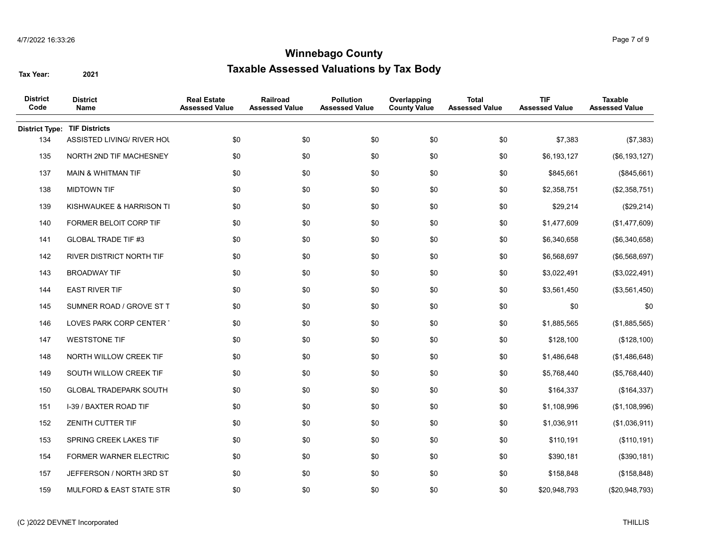| <b>District</b><br>Code | <b>District</b><br>Name             | <b>Real Estate</b><br><b>Assessed Value</b> | Railroad<br><b>Assessed Value</b> | <b>Pollution</b><br><b>Assessed Value</b> | Overlapping<br><b>County Value</b> | <b>Total</b><br><b>Assessed Value</b> | <b>TIF</b><br><b>Assessed Value</b> | <b>Taxable</b><br><b>Assessed Value</b> |
|-------------------------|-------------------------------------|---------------------------------------------|-----------------------------------|-------------------------------------------|------------------------------------|---------------------------------------|-------------------------------------|-----------------------------------------|
| <b>District Type:</b>   | <b>TIF Districts</b>                |                                             |                                   |                                           |                                    |                                       |                                     |                                         |
| 134                     | ASSISTED LIVING/ RIVER HOL          | \$0                                         | \$0                               | \$0                                       | \$0                                | \$0                                   | \$7,383                             | (\$7,383)                               |
| 135                     | NORTH 2ND TIF MACHESNEY             | \$0                                         | \$0                               | \$0                                       | \$0                                | \$0                                   | \$6,193,127                         | (\$6, 193, 127)                         |
| 137                     | <b>MAIN &amp; WHITMAN TIF</b>       | \$0                                         | \$0                               | \$0                                       | \$0                                | \$0                                   | \$845,661                           | (\$845,661)                             |
| 138                     | <b>MIDTOWN TIF</b>                  | \$0                                         | \$0                               | \$0                                       | \$0                                | \$0                                   | \$2,358,751                         | (\$2,358,751)                           |
| 139                     | KISHWAUKEE & HARRISON TI            | \$0                                         | \$0                               | \$0                                       | \$0                                | \$0                                   | \$29,214                            | (\$29,214)                              |
| 140                     | FORMER BELOIT CORP TIF              | \$0                                         | \$0                               | \$0                                       | \$0                                | \$0                                   | \$1,477,609                         | (\$1,477,609)                           |
| 141                     | <b>GLOBAL TRADE TIF #3</b>          | \$0                                         | \$0                               | \$0                                       | \$0                                | \$0                                   | \$6,340,658                         | (\$6,340,658)                           |
| 142                     | RIVER DISTRICT NORTH TIF            | \$0                                         | \$0                               | \$0                                       | \$0                                | \$0                                   | \$6,568,697                         | (\$6,568,697)                           |
| 143                     | <b>BROADWAY TIF</b>                 | \$0                                         | \$0                               | \$0                                       | \$0                                | \$0                                   | \$3,022,491                         | (\$3,022,491)                           |
| 144                     | <b>EAST RIVER TIF</b>               | \$0                                         | \$0                               | \$0                                       | \$0                                | \$0                                   | \$3,561,450                         | (\$3,561,450)                           |
| 145                     | SUMNER ROAD / GROVE ST T            | \$0                                         | \$0                               | \$0                                       | \$0                                | \$0                                   | \$0                                 | \$0                                     |
| 146                     | LOVES PARK CORP CENTER              | \$0                                         | \$0                               | \$0                                       | \$0                                | \$0                                   | \$1,885,565                         | (\$1,885,565)                           |
| 147                     | <b>WESTSTONE TIF</b>                | \$0                                         | \$0                               | \$0                                       | \$0                                | \$0                                   | \$128,100                           | (\$128,100)                             |
| 148                     | NORTH WILLOW CREEK TIF              | \$0                                         | \$0                               | \$0                                       | \$0                                | \$0                                   | \$1,486,648                         | (\$1,486,648)                           |
| 149                     | SOUTH WILLOW CREEK TIF              | \$0                                         | \$0                               | \$0                                       | \$0                                | \$0                                   | \$5,768,440                         | (\$5,768,440)                           |
| 150                     | <b>GLOBAL TRADEPARK SOUTH</b>       | \$0                                         | \$0                               | \$0                                       | \$0                                | \$0                                   | \$164,337                           | (\$164,337)                             |
| 151                     | I-39 / BAXTER ROAD TIF              | \$0                                         | \$0                               | \$0                                       | \$0                                | \$0                                   | \$1,108,996                         | (\$1,108,996)                           |
| 152                     | <b>ZENITH CUTTER TIF</b>            | \$0                                         | \$0                               | \$0                                       | \$0                                | \$0                                   | \$1,036,911                         | (\$1,036,911)                           |
| 153                     | SPRING CREEK LAKES TIF              | \$0                                         | \$0                               | \$0                                       | \$0                                | \$0                                   | \$110,191                           | (\$110, 191)                            |
| 154                     | FORMER WARNER ELECTRIC              | \$0                                         | \$0                               | \$0                                       | \$0                                | \$0                                   | \$390,181                           | (\$390, 181)                            |
| 157                     | JEFFERSON / NORTH 3RD ST            | \$0                                         | \$0                               | \$0                                       | \$0                                | \$0                                   | \$158,848                           | (\$158,848)                             |
| 159                     | <b>MULFORD &amp; EAST STATE STR</b> | \$0                                         | \$0                               | \$0                                       | \$0                                | \$0                                   | \$20,948,793                        | (\$20,948,793)                          |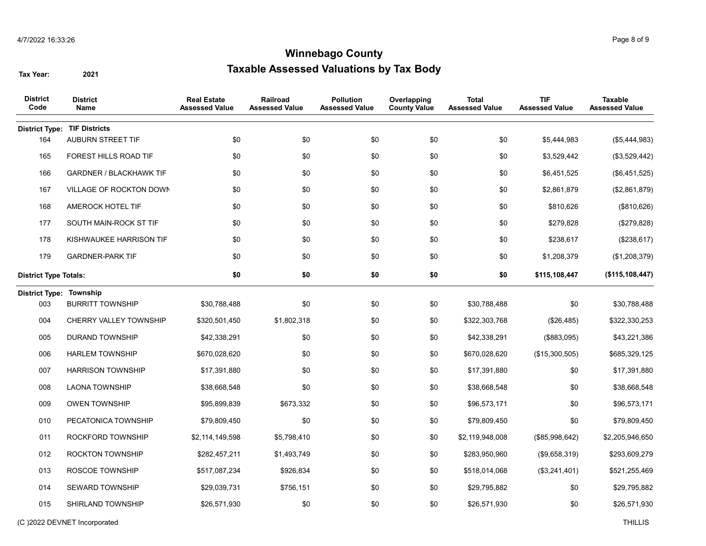| <b>District</b><br>Code        | <b>District</b><br>Name        | <b>Real Estate</b><br><b>Assessed Value</b> | Railroad<br><b>Assessed Value</b> | <b>Pollution</b><br><b>Assessed Value</b> | Overlapping<br><b>County Value</b> | <b>Total</b><br><b>Assessed Value</b> | <b>TIF</b><br><b>Assessed Value</b> | <b>Taxable</b><br><b>Assessed Value</b> |
|--------------------------------|--------------------------------|---------------------------------------------|-----------------------------------|-------------------------------------------|------------------------------------|---------------------------------------|-------------------------------------|-----------------------------------------|
| <b>District Type:</b>          | <b>TIF Districts</b>           |                                             |                                   |                                           |                                    |                                       |                                     |                                         |
| 164                            | AUBURN STREET TIF              | \$0                                         | \$0                               | \$0                                       | \$0                                | \$0                                   | \$5,444,983                         | (\$5,444,983)                           |
| 165                            | FOREST HILLS ROAD TIF          | \$0                                         | \$0                               | \$0                                       | \$0                                | \$0                                   | \$3,529,442                         | (\$3,529,442)                           |
| 166                            | <b>GARDNER / BLACKHAWK TIF</b> | \$0                                         | \$0                               | \$0                                       | \$0                                | \$0                                   | \$6,451,525                         | (\$6,451,525)                           |
| 167                            | VILLAGE OF ROCKTON DOWN        | \$0                                         | \$0                               | \$0                                       | \$0                                | \$0                                   | \$2,861,879                         | (\$2,861,879)                           |
| 168                            | AMEROCK HOTEL TIF              | \$0                                         | \$0                               | \$0                                       | \$0                                | \$0                                   | \$810,626                           | (\$810,626)                             |
| 177                            | SOUTH MAIN-ROCK ST TIF         | \$0                                         | \$0                               | \$0                                       | \$0                                | \$0                                   | \$279,828                           | (\$279,828)                             |
| 178                            | KISHWAUKEE HARRISON TIF        | \$0                                         | \$0                               | \$0                                       | \$0                                | \$0                                   | \$238,617                           | (\$238,617)                             |
| 179                            | <b>GARDNER-PARK TIF</b>        | \$0                                         | \$0                               | \$0                                       | \$0                                | \$0                                   | \$1,208,379                         | (\$1,208,379)                           |
| <b>District Type Totals:</b>   |                                | \$0                                         | \$0                               | \$0                                       | \$0                                | \$0                                   | \$115,108,447                       | (\$115, 108, 447)                       |
| <b>District Type: Township</b> |                                |                                             |                                   |                                           |                                    |                                       |                                     |                                         |
| 003                            | <b>BURRITT TOWNSHIP</b>        | \$30,788,488                                | \$0                               | \$0                                       | \$0                                | \$30,788,488                          | \$0                                 | \$30,788,488                            |
| 004                            | CHERRY VALLEY TOWNSHIP         | \$320,501,450                               | \$1,802,318                       | \$0                                       | \$0                                | \$322,303,768                         | (\$26,485)                          | \$322,330,253                           |
| 005                            | <b>DURAND TOWNSHIP</b>         | \$42,338,291                                | \$0                               | \$0                                       | \$0                                | \$42,338,291                          | (\$883,095)                         | \$43,221,386                            |
| 006                            | <b>HARLEM TOWNSHIP</b>         | \$670,028,620                               | \$0                               | \$0                                       | \$0                                | \$670,028,620                         | (\$15,300,505)                      | \$685,329,125                           |
| 007                            | <b>HARRISON TOWNSHIP</b>       | \$17,391,880                                | \$0                               | \$0                                       | \$0                                | \$17,391,880                          | \$0                                 | \$17,391,880                            |
| 008                            | <b>LAONA TOWNSHIP</b>          | \$38,668,548                                | \$0                               | \$0                                       | \$0                                | \$38,668,548                          | \$0                                 | \$38,668,548                            |
| 009                            | <b>OWEN TOWNSHIP</b>           | \$95,899,839                                | \$673,332                         | \$0                                       | \$0                                | \$96,573,171                          | \$0                                 | \$96,573,171                            |
| 010                            | PECATONICA TOWNSHIP            | \$79,809,450                                | \$0                               | \$0                                       | \$0                                | \$79,809,450                          | \$0                                 | \$79,809,450                            |
| 011                            | ROCKFORD TOWNSHIP              | \$2,114,149,598                             | \$5,798,410                       | \$0                                       | \$0                                | \$2,119,948,008                       | (\$85,998,642)                      | \$2,205,946,650                         |
| 012                            | <b>ROCKTON TOWNSHIP</b>        | \$282,457,211                               | \$1,493,749                       | \$0                                       | \$0                                | \$283,950,960                         | (\$9,658,319)                       | \$293,609,279                           |
| 013                            | ROSCOE TOWNSHIP                | \$517,087,234                               | \$926,834                         | \$0                                       | \$0                                | \$518,014,068                         | (\$3,241,401)                       | \$521,255,469                           |
| 014                            | <b>SEWARD TOWNSHIP</b>         | \$29,039,731                                | \$756,151                         | \$0                                       | \$0                                | \$29,795,882                          | \$0                                 | \$29,795,882                            |
| 015                            | <b>SHIRLAND TOWNSHIP</b>       | \$26,571,930                                | \$0                               | \$0                                       | \$0                                | \$26,571,930                          | \$0                                 | \$26,571,930                            |